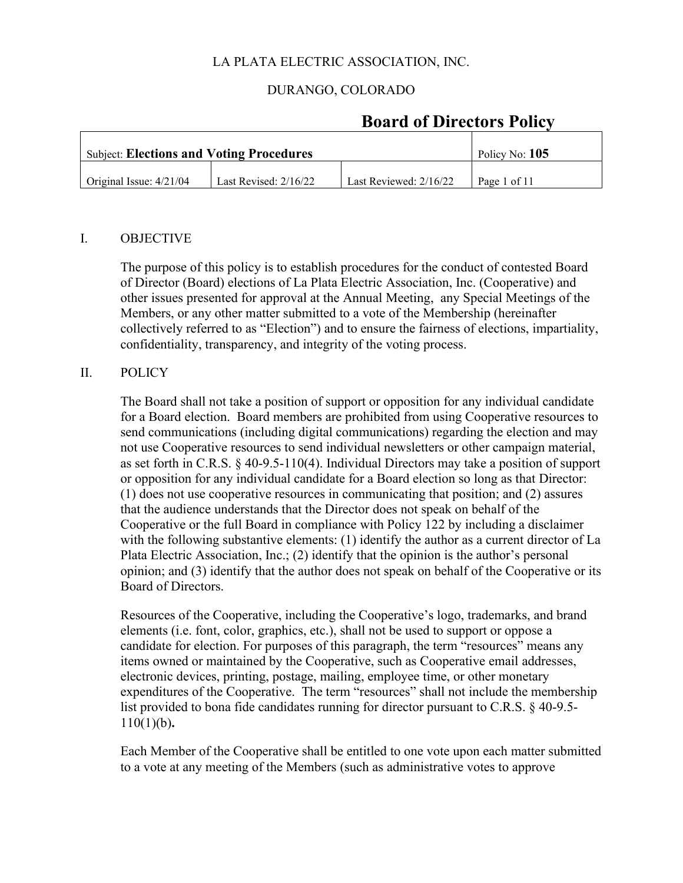### DURANGO, COLORADO

| <b>Subject: Elections and Voting Procedures</b> | Policy No: $105$        |                          |              |
|-------------------------------------------------|-------------------------|--------------------------|--------------|
| Original Issue: $4/21/04$                       | Last Revised: $2/16/22$ | Last Reviewed: $2/16/22$ | Page 1 of 11 |

# **Board of Directors Policy**

#### I. OBJECTIVE

The purpose of this policy is to establish procedures for the conduct of contested Board of Director (Board) elections of La Plata Electric Association, Inc. (Cooperative) and other issues presented for approval at the Annual Meeting, any Special Meetings of the Members, or any other matter submitted to a vote of the Membership (hereinafter collectively referred to as "Election") and to ensure the fairness of elections, impartiality, confidentiality, transparency, and integrity of the voting process.

#### II. POLICY

The Board shall not take a position of support or opposition for any individual candidate for a Board election. Board members are prohibited from using Cooperative resources to send communications (including digital communications) regarding the election and may not use Cooperative resources to send individual newsletters or other campaign material, as set forth in C.R.S. § 40-9.5-110(4). Individual Directors may take a position of support or opposition for any individual candidate for a Board election so long as that Director: (1) does not use cooperative resources in communicating that position; and (2) assures that the audience understands that the Director does not speak on behalf of the Cooperative or the full Board in compliance with Policy 122 by including a disclaimer with the following substantive elements: (1) identify the author as a current director of La Plata Electric Association, Inc.; (2) identify that the opinion is the author's personal opinion; and (3) identify that the author does not speak on behalf of the Cooperative or its Board of Directors.

Resources of the Cooperative, including the Cooperative's logo, trademarks, and brand elements (i.e. font, color, graphics, etc.), shall not be used to support or oppose a candidate for election. For purposes of this paragraph, the term "resources" means any items owned or maintained by the Cooperative, such as Cooperative email addresses, electronic devices, printing, postage, mailing, employee time, or other monetary expenditures of the Cooperative. The term "resources" shall not include the membership list provided to bona fide candidates running for director pursuant to C.R.S. § 40-9.5- 110(1)(b)**.**

Each Member of the Cooperative shall be entitled to one vote upon each matter submitted to a vote at any meeting of the Members (such as administrative votes to approve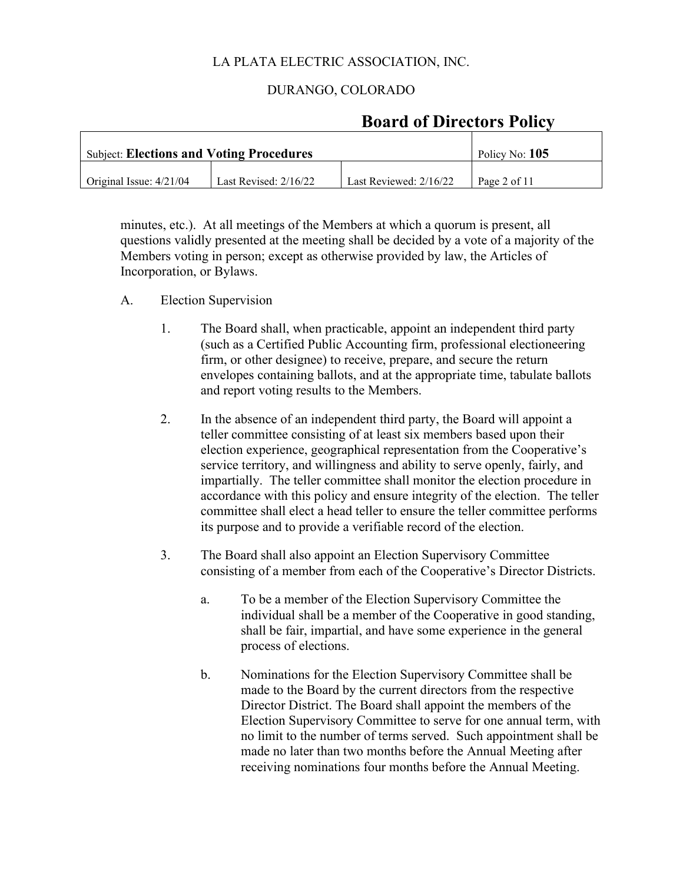#### DURANGO, COLORADO

| <b>Subject: Elections and Voting Procedures</b> | Policy No: $105$        |                          |              |
|-------------------------------------------------|-------------------------|--------------------------|--------------|
| Original Issue: $4/21/04$                       | Last Revised: $2/16/22$ | Last Reviewed: $2/16/22$ | Page 2 of 11 |

# **Board of Directors Policy**

minutes, etc.). At all meetings of the Members at which a quorum is present, all questions validly presented at the meeting shall be decided by a vote of a majority of the Members voting in person; except as otherwise provided by law, the Articles of Incorporation, or Bylaws.

- A. Election Supervision
	- 1. The Board shall, when practicable, appoint an independent third party (such as a Certified Public Accounting firm, professional electioneering firm, or other designee) to receive, prepare, and secure the return envelopes containing ballots, and at the appropriate time, tabulate ballots and report voting results to the Members.
	- 2. In the absence of an independent third party, the Board will appoint a teller committee consisting of at least six members based upon their election experience, geographical representation from the Cooperative's service territory, and willingness and ability to serve openly, fairly, and impartially. The teller committee shall monitor the election procedure in accordance with this policy and ensure integrity of the election. The teller committee shall elect a head teller to ensure the teller committee performs its purpose and to provide a verifiable record of the election.
	- 3. The Board shall also appoint an Election Supervisory Committee consisting of a member from each of the Cooperative's Director Districts.
		- a. To be a member of the Election Supervisory Committee the individual shall be a member of the Cooperative in good standing, shall be fair, impartial, and have some experience in the general process of elections.
		- b. Nominations for the Election Supervisory Committee shall be made to the Board by the current directors from the respective Director District. The Board shall appoint the members of the Election Supervisory Committee to serve for one annual term, with no limit to the number of terms served. Such appointment shall be made no later than two months before the Annual Meeting after receiving nominations four months before the Annual Meeting.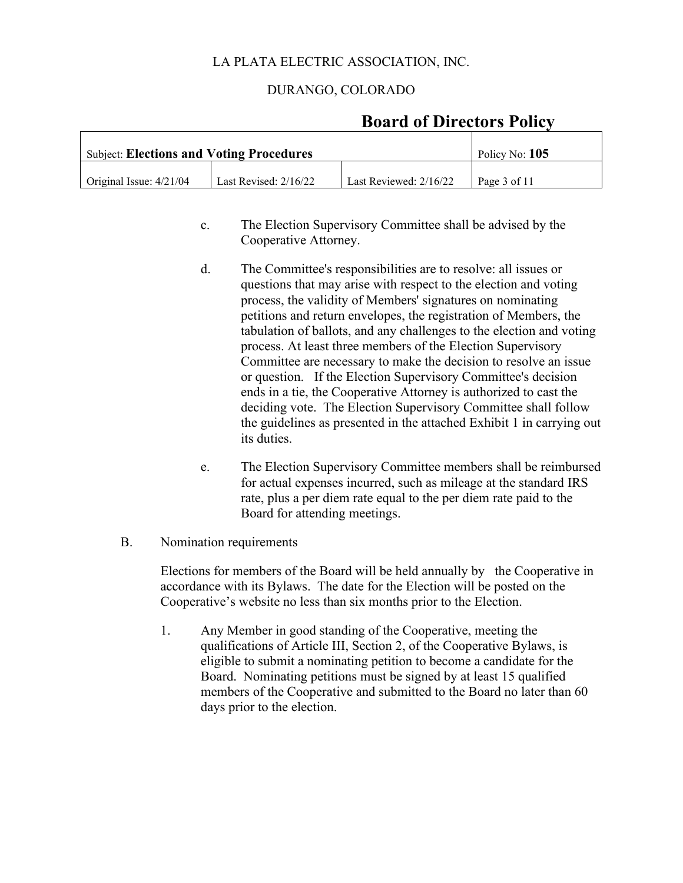#### DURANGO, COLORADO

# **Board of Directors Policy**

| Subject: Elections and Voting Procedures |                         |                          | Policy No: $105$ |
|------------------------------------------|-------------------------|--------------------------|------------------|
| $\int$ Original Issue: $4/21/04$         | Last Revised: $2/16/22$ | Last Reviewed: $2/16/22$ | Page 3 of 11     |

- c. The Election Supervisory Committee shall be advised by the Cooperative Attorney.
- d. The Committee's responsibilities are to resolve: all issues or questions that may arise with respect to the election and voting process, the validity of Members' signatures on nominating petitions and return envelopes, the registration of Members, the tabulation of ballots, and any challenges to the election and voting process. At least three members of the Election Supervisory Committee are necessary to make the decision to resolve an issue or question. If the Election Supervisory Committee's decision ends in a tie, the Cooperative Attorney is authorized to cast the deciding vote. The Election Supervisory Committee shall follow the guidelines as presented in the attached Exhibit 1 in carrying out its duties.
- e. The Election Supervisory Committee members shall be reimbursed for actual expenses incurred, such as mileage at the standard IRS rate, plus a per diem rate equal to the per diem rate paid to the Board for attending meetings.
- B. Nomination requirements

Elections for members of the Board will be held annually by the Cooperative in accordance with its Bylaws. The date for the Election will be posted on the Cooperative's website no less than six months prior to the Election.

1. Any Member in good standing of the Cooperative, meeting the qualifications of Article III, Section 2, of the Cooperative Bylaws, is eligible to submit a nominating petition to become a candidate for the Board. Nominating petitions must be signed by at least 15 qualified members of the Cooperative and submitted to the Board no later than 60 days prior to the election.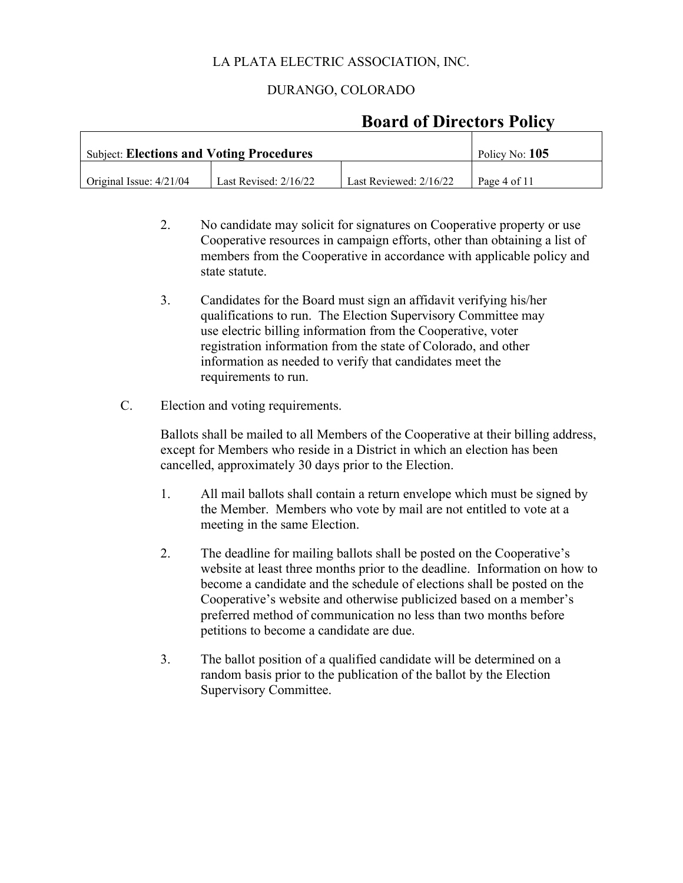### DURANGO, COLORADO

# **Board of Directors Policy**

| <b>Subject: Elections and Voting Procedures</b> |                         |                          | Policy No: $105$ |
|-------------------------------------------------|-------------------------|--------------------------|------------------|
| Original Issue: $4/21/04$                       | Last Revised: $2/16/22$ | Last Reviewed: $2/16/22$ | Page 4 of 11     |

- 2. No candidate may solicit for signatures on Cooperative property or use Cooperative resources in campaign efforts, other than obtaining a list of members from the Cooperative in accordance with applicable policy and state statute.
- 3. Candidates for the Board must sign an affidavit verifying his/her qualifications to run. The Election Supervisory Committee may use electric billing information from the Cooperative, voter registration information from the state of Colorado, and other information as needed to verify that candidates meet the requirements to run.
- C. Election and voting requirements.

Ballots shall be mailed to all Members of the Cooperative at their billing address, except for Members who reside in a District in which an election has been cancelled, approximately 30 days prior to the Election.

- 1. All mail ballots shall contain a return envelope which must be signed by the Member. Members who vote by mail are not entitled to vote at a meeting in the same Election.
- 2. The deadline for mailing ballots shall be posted on the Cooperative's website at least three months prior to the deadline. Information on how to become a candidate and the schedule of elections shall be posted on the Cooperative's website and otherwise publicized based on a member's preferred method of communication no less than two months before petitions to become a candidate are due.
- 3. The ballot position of a qualified candidate will be determined on a random basis prior to the publication of the ballot by the Election Supervisory Committee.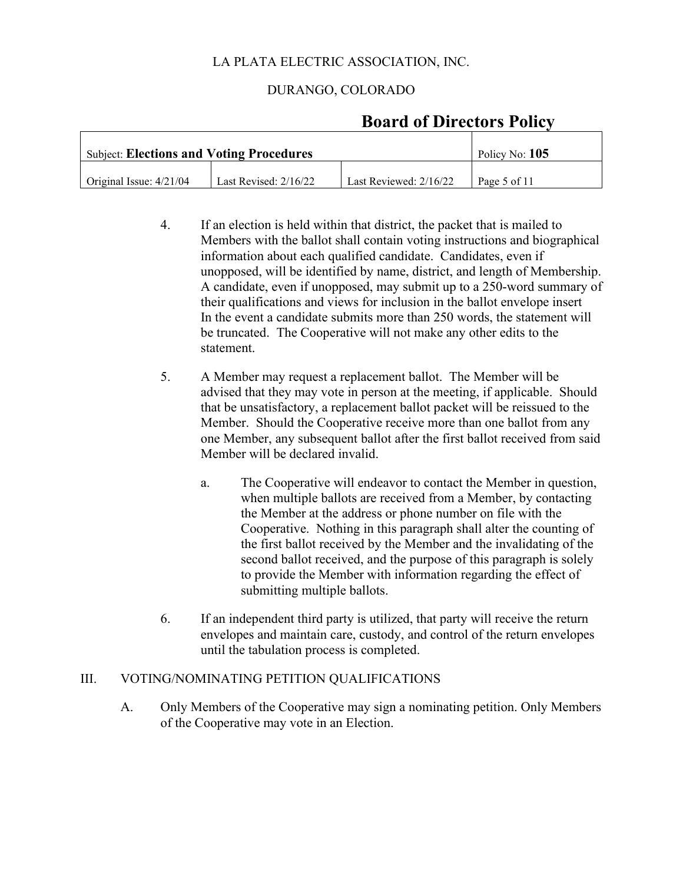### DURANGO, COLORADO

| <b>Subject: Elections and Voting Procedures</b> |                       |                          | Policy No: 105 |
|-------------------------------------------------|-----------------------|--------------------------|----------------|
| Original Issue: $4/21/04$                       | Last Revised: 2/16/22 | Last Reviewed: $2/16/22$ | Page 5 of 11   |

# **Board of Directors Policy**

- 4. If an election is held within that district, the packet that is mailed to Members with the ballot shall contain voting instructions and biographical information about each qualified candidate. Candidates, even if unopposed, will be identified by name, district, and length of Membership. A candidate, even if unopposed, may submit up to a 250-word summary of their qualifications and views for inclusion in the ballot envelope insert In the event a candidate submits more than 250 words, the statement will be truncated. The Cooperative will not make any other edits to the statement.
- 5. A Member may request a replacement ballot. The Member will be advised that they may vote in person at the meeting, if applicable. Should that be unsatisfactory, a replacement ballot packet will be reissued to the Member. Should the Cooperative receive more than one ballot from any one Member, any subsequent ballot after the first ballot received from said Member will be declared invalid.
	- a. The Cooperative will endeavor to contact the Member in question, when multiple ballots are received from a Member, by contacting the Member at the address or phone number on file with the Cooperative. Nothing in this paragraph shall alter the counting of the first ballot received by the Member and the invalidating of the second ballot received, and the purpose of this paragraph is solely to provide the Member with information regarding the effect of submitting multiple ballots.
- 6. If an independent third party is utilized, that party will receive the return envelopes and maintain care, custody, and control of the return envelopes until the tabulation process is completed.

### III. VOTING/NOMINATING PETITION QUALIFICATIONS

A. Only Members of the Cooperative may sign a nominating petition. Only Members of the Cooperative may vote in an Election.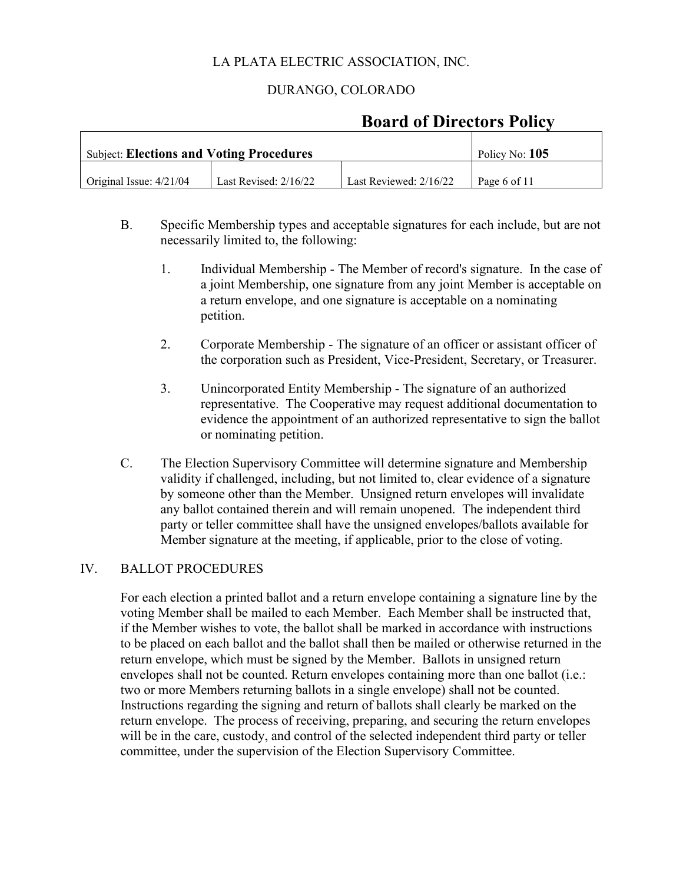# DURANGO, COLORADO

# **Board of Directors Policy**

| <b>Subject: Elections and Voting Procedures</b> |                         |                          | Policy No: 105 |
|-------------------------------------------------|-------------------------|--------------------------|----------------|
| Original Issue: 4/21/04                         | Last Revised: $2/16/22$ | Last Reviewed: $2/16/22$ | Page 6 of 11   |

- B. Specific Membership types and acceptable signatures for each include, but are not necessarily limited to, the following:
	- 1. Individual Membership The Member of record's signature. In the case of a joint Membership, one signature from any joint Member is acceptable on a return envelope, and one signature is acceptable on a nominating petition.
	- 2. Corporate Membership The signature of an officer or assistant officer of the corporation such as President, Vice-President, Secretary, or Treasurer.
	- 3. Unincorporated Entity Membership The signature of an authorized representative. The Cooperative may request additional documentation to evidence the appointment of an authorized representative to sign the ballot or nominating petition.
- C. The Election Supervisory Committee will determine signature and Membership validity if challenged, including, but not limited to, clear evidence of a signature by someone other than the Member. Unsigned return envelopes will invalidate any ballot contained therein and will remain unopened. The independent third party or teller committee shall have the unsigned envelopes/ballots available for Member signature at the meeting, if applicable, prior to the close of voting.

#### IV. BALLOT PROCEDURES

For each election a printed ballot and a return envelope containing a signature line by the voting Member shall be mailed to each Member. Each Member shall be instructed that, if the Member wishes to vote, the ballot shall be marked in accordance with instructions to be placed on each ballot and the ballot shall then be mailed or otherwise returned in the return envelope, which must be signed by the Member. Ballots in unsigned return envelopes shall not be counted. Return envelopes containing more than one ballot (i.e.: two or more Members returning ballots in a single envelope) shall not be counted. Instructions regarding the signing and return of ballots shall clearly be marked on the return envelope. The process of receiving, preparing, and securing the return envelopes will be in the care, custody, and control of the selected independent third party or teller committee, under the supervision of the Election Supervisory Committee.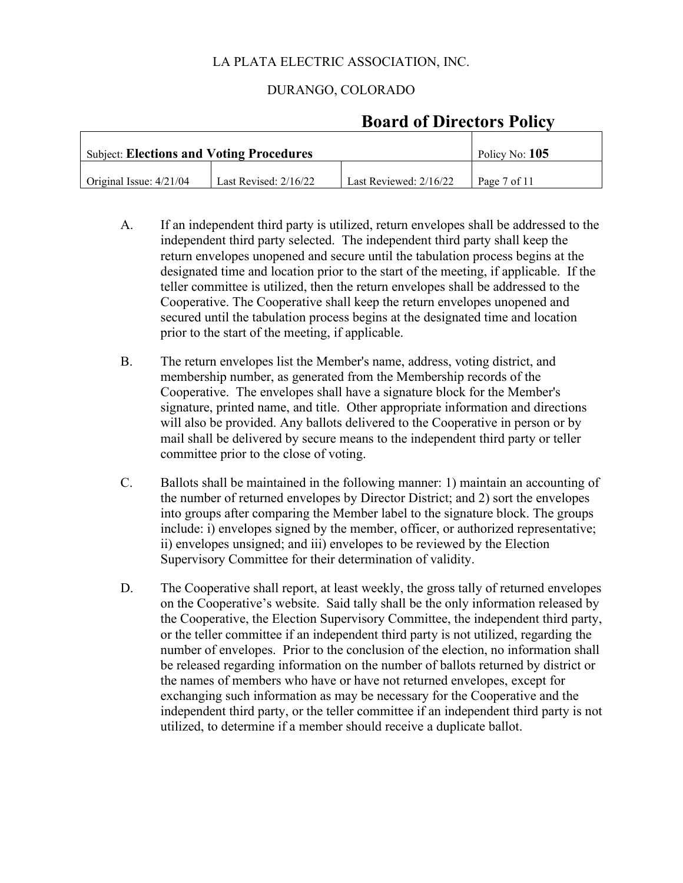### DURANGO, COLORADO

| <b>Subject: Elections and Voting Procedures</b> | Policy No: 105          |                        |              |
|-------------------------------------------------|-------------------------|------------------------|--------------|
| Original Issue: $4/21/04$                       | Last Revised: $2/16/22$ | Last Reviewed: 2/16/22 | Page 7 of 11 |

# **Board of Directors Policy**

- A. If an independent third party is utilized, return envelopes shall be addressed to the independent third party selected. The independent third party shall keep the return envelopes unopened and secure until the tabulation process begins at the designated time and location prior to the start of the meeting, if applicable. If the teller committee is utilized, then the return envelopes shall be addressed to the Cooperative. The Cooperative shall keep the return envelopes unopened and secured until the tabulation process begins at the designated time and location prior to the start of the meeting, if applicable.
- B. The return envelopes list the Member's name, address, voting district, and membership number, as generated from the Membership records of the Cooperative. The envelopes shall have a signature block for the Member's signature, printed name, and title. Other appropriate information and directions will also be provided. Any ballots delivered to the Cooperative in person or by mail shall be delivered by secure means to the independent third party or teller committee prior to the close of voting.
- C. Ballots shall be maintained in the following manner: 1) maintain an accounting of the number of returned envelopes by Director District; and 2) sort the envelopes into groups after comparing the Member label to the signature block. The groups include: i) envelopes signed by the member, officer, or authorized representative; ii) envelopes unsigned; and iii) envelopes to be reviewed by the Election Supervisory Committee for their determination of validity.
- D. The Cooperative shall report, at least weekly, the gross tally of returned envelopes on the Cooperative's website. Said tally shall be the only information released by the Cooperative, the Election Supervisory Committee, the independent third party, or the teller committee if an independent third party is not utilized, regarding the number of envelopes. Prior to the conclusion of the election, no information shall be released regarding information on the number of ballots returned by district or the names of members who have or have not returned envelopes, except for exchanging such information as may be necessary for the Cooperative and the independent third party, or the teller committee if an independent third party is not utilized, to determine if a member should receive a duplicate ballot.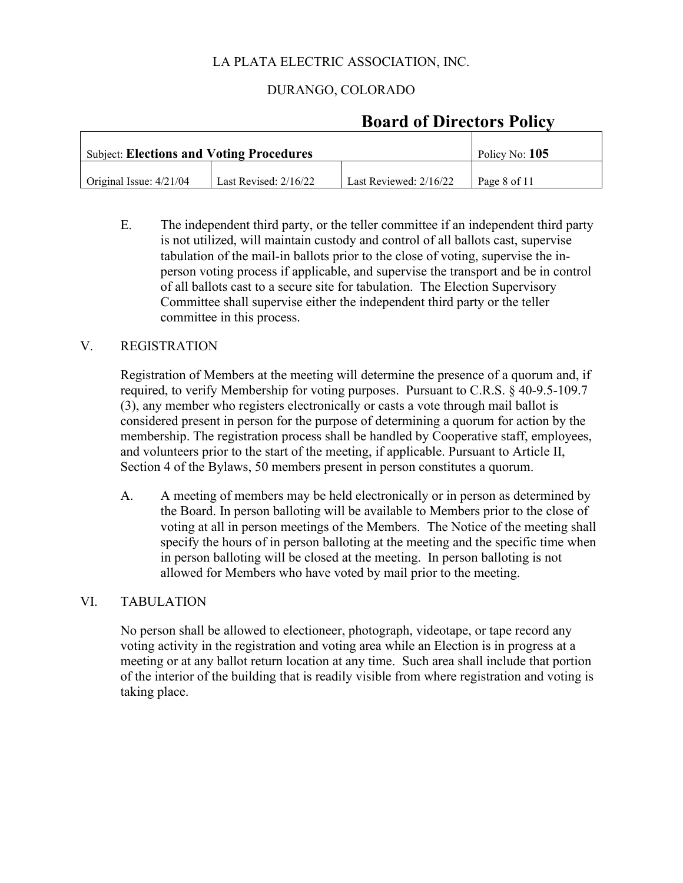### DURANGO, COLORADO

| <b>Subject: Elections and Voting Procedures</b> | Policy No: 105        |                          |              |
|-------------------------------------------------|-----------------------|--------------------------|--------------|
| Original Issue: $4/21/04$                       | Last Revised: 2/16/22 | Last Reviewed: $2/16/22$ | Page 8 of 11 |

# **Board of Directors Policy**

E. The independent third party, or the teller committee if an independent third party is not utilized, will maintain custody and control of all ballots cast, supervise tabulation of the mail-in ballots prior to the close of voting, supervise the inperson voting process if applicable, and supervise the transport and be in control of all ballots cast to a secure site for tabulation. The Election Supervisory Committee shall supervise either the independent third party or the teller committee in this process.

#### V. REGISTRATION

Registration of Members at the meeting will determine the presence of a quorum and, if required, to verify Membership for voting purposes. Pursuant to C.R.S. § 40-9.5-109.7 (3), any member who registers electronically or casts a vote through mail ballot is considered present in person for the purpose of determining a quorum for action by the membership. The registration process shall be handled by Cooperative staff, employees, and volunteers prior to the start of the meeting, if applicable. Pursuant to Article II, Section 4 of the Bylaws, 50 members present in person constitutes a quorum.

A. A meeting of members may be held electronically or in person as determined by the Board. In person balloting will be available to Members prior to the close of voting at all in person meetings of the Members. The Notice of the meeting shall specify the hours of in person balloting at the meeting and the specific time when in person balloting will be closed at the meeting. In person balloting is not allowed for Members who have voted by mail prior to the meeting.

#### VI. TABULATION

No person shall be allowed to electioneer, photograph, videotape, or tape record any voting activity in the registration and voting area while an Election is in progress at a meeting or at any ballot return location at any time. Such area shall include that portion of the interior of the building that is readily visible from where registration and voting is taking place.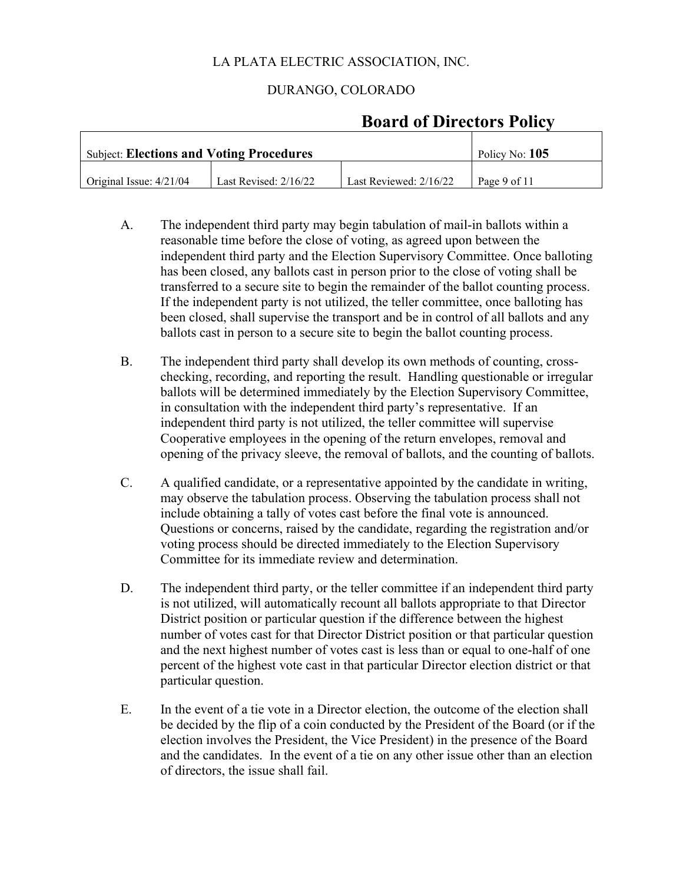### DURANGO, COLORADO

| <b>Subject: Elections and Voting Procedures</b> | Policy No: $105$        |                        |              |
|-------------------------------------------------|-------------------------|------------------------|--------------|
| Original Issue: 4/21/04                         | Last Revised: $2/16/22$ | Last Reviewed: 2/16/22 | Page 9 of 11 |

# **Board of Directors Policy**

- A. The independent third party may begin tabulation of mail-in ballots within a reasonable time before the close of voting, as agreed upon between the independent third party and the Election Supervisory Committee. Once balloting has been closed, any ballots cast in person prior to the close of voting shall be transferred to a secure site to begin the remainder of the ballot counting process. If the independent party is not utilized, the teller committee, once balloting has been closed, shall supervise the transport and be in control of all ballots and any ballots cast in person to a secure site to begin the ballot counting process.
- B. The independent third party shall develop its own methods of counting, crosschecking, recording, and reporting the result. Handling questionable or irregular ballots will be determined immediately by the Election Supervisory Committee, in consultation with the independent third party's representative. If an independent third party is not utilized, the teller committee will supervise Cooperative employees in the opening of the return envelopes, removal and opening of the privacy sleeve, the removal of ballots, and the counting of ballots.
- C. A qualified candidate, or a representative appointed by the candidate in writing, may observe the tabulation process. Observing the tabulation process shall not include obtaining a tally of votes cast before the final vote is announced. Questions or concerns, raised by the candidate, regarding the registration and/or voting process should be directed immediately to the Election Supervisory Committee for its immediate review and determination.
- D. The independent third party, or the teller committee if an independent third party is not utilized, will automatically recount all ballots appropriate to that Director District position or particular question if the difference between the highest number of votes cast for that Director District position or that particular question and the next highest number of votes cast is less than or equal to one-half of one percent of the highest vote cast in that particular Director election district or that particular question.
- E. In the event of a tie vote in a Director election, the outcome of the election shall be decided by the flip of a coin conducted by the President of the Board (or if the election involves the President, the Vice President) in the presence of the Board and the candidates. In the event of a tie on any other issue other than an election of directors, the issue shall fail.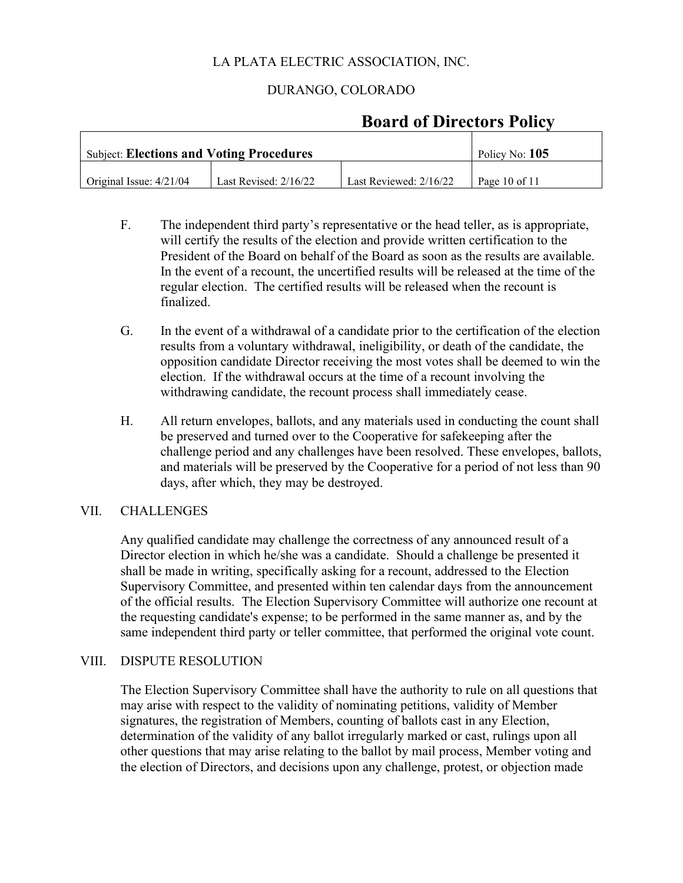### DURANGO, COLORADO

| <b>Subject: Elections and Voting Procedures</b> | Policy No: 105          |                          |                   |
|-------------------------------------------------|-------------------------|--------------------------|-------------------|
| $\int$ Original Issue: $4/21/04$                | Last Revised: $2/16/22$ | Last Reviewed: $2/16/22$ | Page $10$ of $11$ |

# **Board of Directors Policy**

- F. The independent third party's representative or the head teller, as is appropriate, will certify the results of the election and provide written certification to the President of the Board on behalf of the Board as soon as the results are available. In the event of a recount, the uncertified results will be released at the time of the regular election. The certified results will be released when the recount is finalized.
- G. In the event of a withdrawal of a candidate prior to the certification of the election results from a voluntary withdrawal, ineligibility, or death of the candidate, the opposition candidate Director receiving the most votes shall be deemed to win the election. If the withdrawal occurs at the time of a recount involving the withdrawing candidate, the recount process shall immediately cease.
- H. All return envelopes, ballots, and any materials used in conducting the count shall be preserved and turned over to the Cooperative for safekeeping after the challenge period and any challenges have been resolved. These envelopes, ballots, and materials will be preserved by the Cooperative for a period of not less than 90 days, after which, they may be destroyed.

### VII. CHALLENGES

Any qualified candidate may challenge the correctness of any announced result of a Director election in which he/she was a candidate. Should a challenge be presented it shall be made in writing, specifically asking for a recount, addressed to the Election Supervisory Committee, and presented within ten calendar days from the announcement of the official results. The Election Supervisory Committee will authorize one recount at the requesting candidate's expense; to be performed in the same manner as, and by the same independent third party or teller committee, that performed the original vote count.

#### VIII. DISPUTE RESOLUTION

The Election Supervisory Committee shall have the authority to rule on all questions that may arise with respect to the validity of nominating petitions, validity of Member signatures, the registration of Members, counting of ballots cast in any Election, determination of the validity of any ballot irregularly marked or cast, rulings upon all other questions that may arise relating to the ballot by mail process, Member voting and the election of Directors, and decisions upon any challenge, protest, or objection made